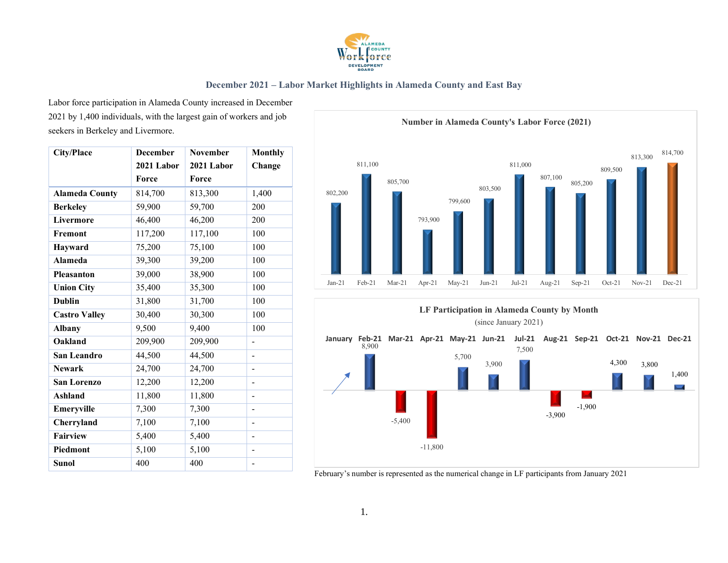

Labor force participation in Alameda County increased in December 2021 by 1,400 individuals, with the largest gain of workers and job seekers in Berkeley and Livermore.

| <b>City/Place</b>     | <b>December</b> | <b>November</b> | <b>Monthly</b> |
|-----------------------|-----------------|-----------------|----------------|
|                       | 2021 Labor      | 2021 Labor      | Change         |
|                       | Force           | Force           |                |
| <b>Alameda County</b> | 814,700         | 813,300         | 1,400          |
| <b>Berkeley</b>       | 59,900          | 59,700          | 200            |
| Livermore             | 46,400          | 46,200          | 200            |
| Fremont               | 117,200         | 117,100         | 100            |
| Hayward               | 75,200          | 75,100          | 100            |
| <b>Alameda</b>        | 39,300          | 39,200          | 100            |
| <b>Pleasanton</b>     | 39,000          | 38,900          | 100            |
| <b>Union City</b>     | 35,400          | 35,300          | 100            |
| <b>Dublin</b>         | 31,800          | 31,700          | 100            |
| <b>Castro Valley</b>  | 30,400          | 30,300          | 100            |
| <b>Albany</b>         | 9,500           | 9,400           | 100            |
| Oakland               | 209,900         | 209,900         |                |
| San Leandro           | 44,500          | 44,500          | -              |
| <b>Newark</b>         | 24,700          | 24,700          |                |
| <b>San Lorenzo</b>    | 12,200          | 12,200          | -              |
| <b>Ashland</b>        | 11,800          | 11,800          | -              |
| Emeryville            | 7,300           | 7,300           | $\overline{a}$ |
| Cherryland            | 7,100           | 7,100           | -              |
| <b>Fairview</b>       | 5,400           | 5,400           |                |
| Piedmont              | 5,100           | 5,100           | -              |
| <b>Sunol</b>          | 400             | 400             | -              |

**Number in Alameda County's Labor Force (2021)**





February's number is represented as the numerical change in LF participants from January 2021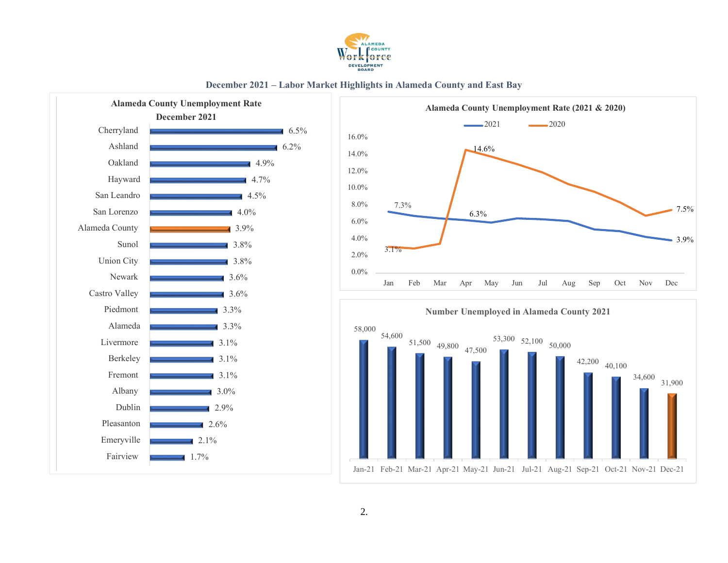







34,600

31,900

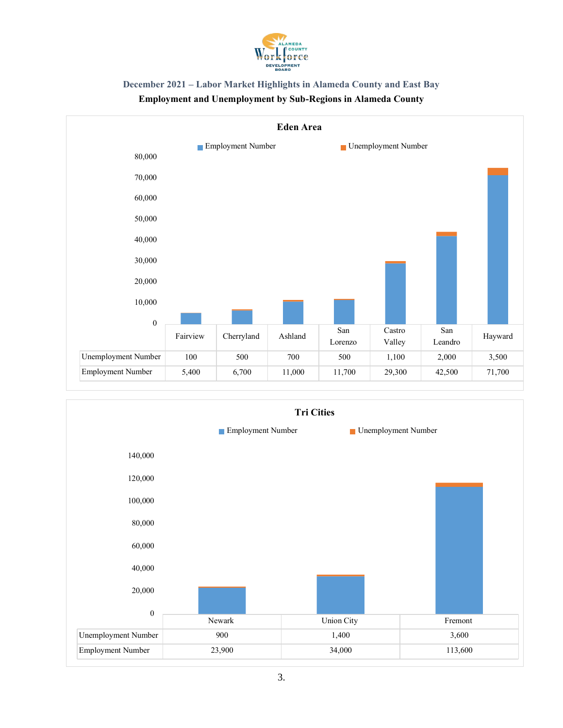



# **Employment and Unemployment by Sub-Regions in Alameda County**

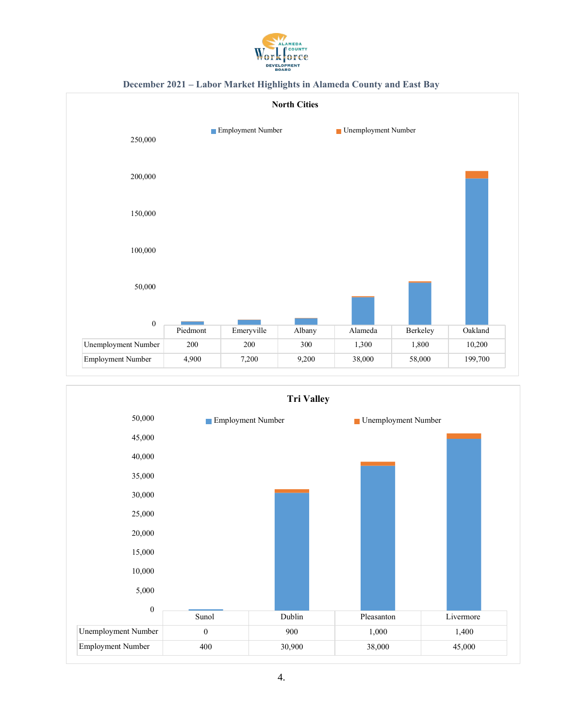





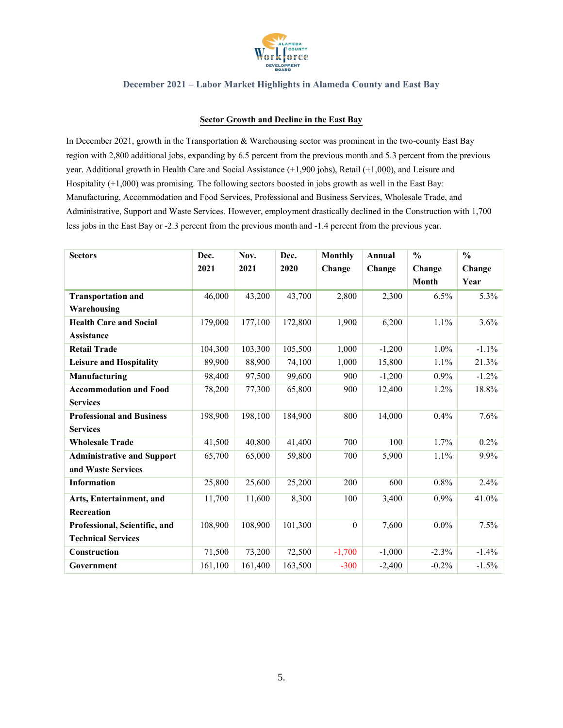

#### **Sector Growth and Decline in the East Bay**

In December 2021, growth in the Transportation & Warehousing sector was prominent in the two-county East Bay region with 2,800 additional jobs, expanding by 6.5 percent from the previous month and 5.3 percent from the previous year. Additional growth in Health Care and Social Assistance (+1,900 jobs), Retail (+1,000), and Leisure and Hospitality (+1,000) was promising. The following sectors boosted in jobs growth as well in the East Bay: Manufacturing, Accommodation and Food Services, Professional and Business Services, Wholesale Trade, and Administrative, Support and Waste Services. However, employment drastically declined in the Construction with 1,700 less jobs in the East Bay or -2.3 percent from the previous month and -1.4 percent from the previous year.

| <b>Sectors</b>                    | Dec.    | Nov.    | Dec.    | <b>Monthly</b> | Annual   | $\frac{0}{0}$ | $\frac{0}{0}$ |
|-----------------------------------|---------|---------|---------|----------------|----------|---------------|---------------|
|                                   | 2021    | 2021    | 2020    | Change         | Change   | Change        | Change        |
|                                   |         |         |         |                |          | <b>Month</b>  | Year          |
| <b>Transportation and</b>         | 46,000  | 43,200  | 43,700  | 2,800          | 2,300    | 6.5%          | 5.3%          |
| Warehousing                       |         |         |         |                |          |               |               |
| <b>Health Care and Social</b>     | 179,000 | 177,100 | 172,800 | 1,900          | 6,200    | 1.1%          | 3.6%          |
| Assistance                        |         |         |         |                |          |               |               |
| <b>Retail Trade</b>               | 104,300 | 103,300 | 105,500 | 1,000          | $-1,200$ | $1.0\%$       | $-1.1\%$      |
| <b>Leisure and Hospitality</b>    | 89,900  | 88,900  | 74,100  | 1,000          | 15,800   | 1.1%          | 21.3%         |
| Manufacturing                     | 98,400  | 97,500  | 99,600  | 900            | $-1,200$ | 0.9%          | $-1.2\%$      |
| <b>Accommodation and Food</b>     | 78,200  | 77,300  | 65,800  | 900            | 12,400   | 1.2%          | 18.8%         |
| <b>Services</b>                   |         |         |         |                |          |               |               |
| <b>Professional and Business</b>  | 198,900 | 198,100 | 184,900 | 800            | 14,000   | 0.4%          | 7.6%          |
| <b>Services</b>                   |         |         |         |                |          |               |               |
| <b>Wholesale Trade</b>            | 41,500  | 40,800  | 41,400  | 700            | 100      | 1.7%          | $0.2\%$       |
| <b>Administrative and Support</b> | 65,700  | 65,000  | 59,800  | 700            | 5,900    | 1.1%          | 9.9%          |
| and Waste Services                |         |         |         |                |          |               |               |
| <b>Information</b>                | 25,800  | 25,600  | 25,200  | 200            | 600      | 0.8%          | 2.4%          |
| Arts, Entertainment, and          | 11,700  | 11,600  | 8,300   | 100            | 3,400    | 0.9%          | 41.0%         |
| Recreation                        |         |         |         |                |          |               |               |
| Professional, Scientific, and     | 108,900 | 108,900 | 101,300 | $\theta$       | 7,600    | $0.0\%$       | 7.5%          |
| <b>Technical Services</b>         |         |         |         |                |          |               |               |
| <b>Construction</b>               | 71,500  | 73,200  | 72,500  | $-1,700$       | $-1,000$ | $-2.3\%$      | $-1.4\%$      |
| Government                        | 161,100 | 161,400 | 163,500 | $-300$         | $-2,400$ | $-0.2%$       | $-1.5\%$      |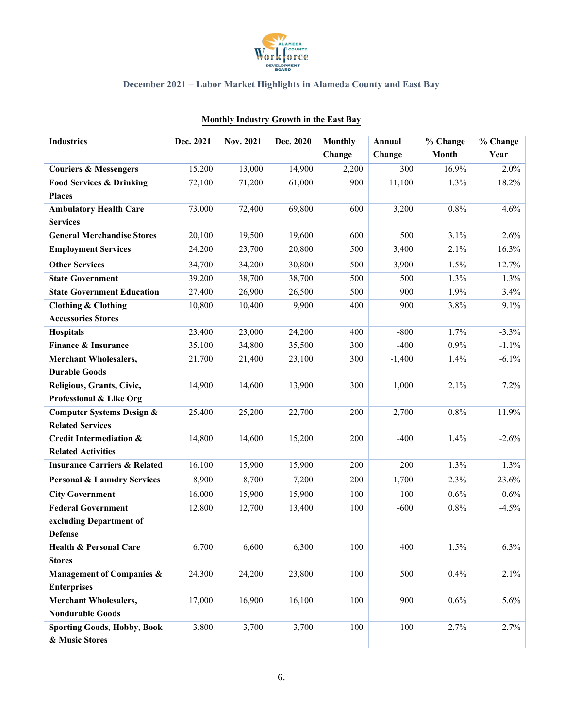

| <b>Industries</b>                       | Dec. 2021 | <b>Nov. 2021</b> | Dec. 2020 | <b>Monthly</b> | Annual   | % Change     | % Change |
|-----------------------------------------|-----------|------------------|-----------|----------------|----------|--------------|----------|
|                                         |           |                  |           | Change         | Change   | <b>Month</b> | Year     |
| <b>Couriers &amp; Messengers</b>        | 15,200    | 13,000           | 14,900    | 2,200          | 300      | 16.9%        | 2.0%     |
| <b>Food Services &amp; Drinking</b>     | 72,100    | 71,200           | 61,000    | 900            | 11,100   | 1.3%         | 18.2%    |
| <b>Places</b>                           |           |                  |           |                |          |              |          |
| <b>Ambulatory Health Care</b>           | 73,000    | 72,400           | 69,800    | 600            | 3,200    | 0.8%         | 4.6%     |
| <b>Services</b>                         |           |                  |           |                |          |              |          |
| <b>General Merchandise Stores</b>       | 20,100    | 19,500           | 19,600    | 600            | 500      | 3.1%         | 2.6%     |
| <b>Employment Services</b>              | 24,200    | 23,700           | 20,800    | 500            | 3,400    | 2.1%         | 16.3%    |
| <b>Other Services</b>                   | 34,700    | 34,200           | 30,800    | 500            | 3,900    | 1.5%         | 12.7%    |
| <b>State Government</b>                 | 39,200    | 38,700           | 38,700    | 500            | 500      | 1.3%         | 1.3%     |
| <b>State Government Education</b>       | 27,400    | 26,900           | 26,500    | 500            | 900      | 1.9%         | 3.4%     |
| <b>Clothing &amp; Clothing</b>          | 10,800    | 10,400           | 9,900     | 400            | 900      | 3.8%         | 9.1%     |
| <b>Accessories Stores</b>               |           |                  |           |                |          |              |          |
| Hospitals                               | 23,400    | 23,000           | 24,200    | 400            | $-800$   | 1.7%         | $-3.3%$  |
| Finance & Insurance                     | 35,100    | 34,800           | 35,500    | 300            | $-400$   | 0.9%         | $-1.1\%$ |
| <b>Merchant Wholesalers,</b>            | 21,700    | 21,400           | 23,100    | 300            | $-1,400$ | 1.4%         | $-6.1\%$ |
| <b>Durable Goods</b>                    |           |                  |           |                |          |              |          |
| Religious, Grants, Civic,               | 14,900    | 14,600           | 13,900    | 300            | 1,000    | 2.1%         | 7.2%     |
| Professional & Like Org                 |           |                  |           |                |          |              |          |
| <b>Computer Systems Design &amp;</b>    | 25,400    | 25,200           | 22,700    | 200            | 2,700    | 0.8%         | 11.9%    |
| <b>Related Services</b>                 |           |                  |           |                |          |              |          |
| <b>Credit Intermediation &amp;</b>      | 14,800    | 14,600           | 15,200    | 200            | $-400$   | 1.4%         | $-2.6%$  |
| <b>Related Activities</b>               |           |                  |           |                |          |              |          |
| <b>Insurance Carriers &amp; Related</b> | 16,100    | 15,900           | 15,900    | 200            | 200      | 1.3%         | 1.3%     |
| <b>Personal &amp; Laundry Services</b>  | 8,900     | 8,700            | 7,200     | 200            | 1,700    | 2.3%         | 23.6%    |
| <b>City Government</b>                  | 16,000    | 15,900           | 15,900    | 100            | 100      | 0.6%         | 0.6%     |
| <b>Federal Government</b>               | 12,800    | 12,700           | 13,400    | 100            | $-600$   | 0.8%         | $-4.5%$  |
| excluding Department of                 |           |                  |           |                |          |              |          |
| <b>Defense</b>                          |           |                  |           |                |          |              |          |
| <b>Health &amp; Personal Care</b>       | 6,700     | 6,600            | 6,300     | 100            | 400      | 1.5%         | $6.3\%$  |
| <b>Stores</b>                           |           |                  |           |                |          |              |          |
| <b>Management of Companies &amp;</b>    | 24,300    | 24,200           | 23,800    | 100            | 500      | 0.4%         | 2.1%     |
| <b>Enterprises</b>                      |           |                  |           |                |          |              |          |
| <b>Merchant Wholesalers,</b>            | 17,000    | 16,900           | 16,100    | 100            | 900      | 0.6%         | 5.6%     |
| <b>Nondurable Goods</b>                 |           |                  |           |                |          |              |          |
| <b>Sporting Goods, Hobby, Book</b>      | 3,800     | 3,700            | 3,700     | 100            | 100      | 2.7%         | 2.7%     |
| & Music Stores                          |           |                  |           |                |          |              |          |

## **Monthly Industry Growth in the East Bay**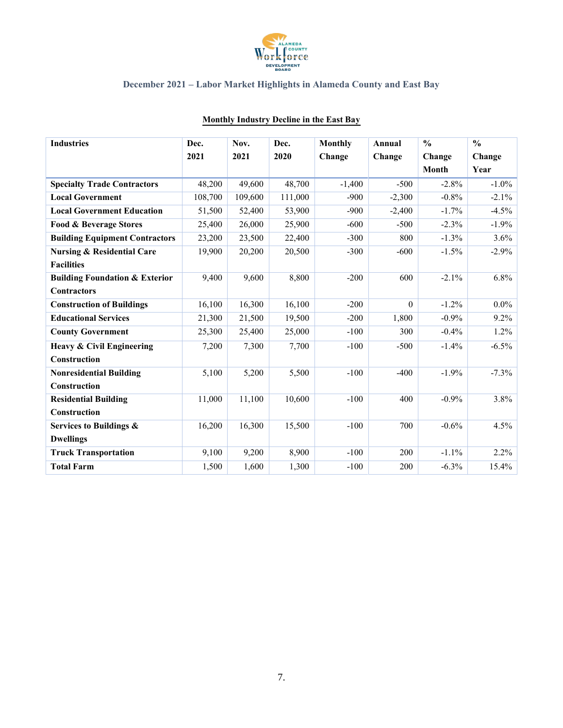

| <b>Industries</b>                         | Dec.    | Nov.    | Dec.    | <b>Monthly</b> | Annual   | $\frac{0}{0}$ | $\frac{0}{0}$ |
|-------------------------------------------|---------|---------|---------|----------------|----------|---------------|---------------|
|                                           | 2021    | 2021    | 2020    | Change         | Change   | Change        | Change        |
|                                           |         |         |         |                |          | <b>Month</b>  | Year          |
| <b>Specialty Trade Contractors</b>        | 48,200  | 49,600  | 48,700  | $-1,400$       | $-500$   | $-2.8%$       | $-1.0\%$      |
| <b>Local Government</b>                   | 108,700 | 109,600 | 111,000 | $-900$         | $-2,300$ | $-0.8%$       | $-2.1\%$      |
| <b>Local Government Education</b>         | 51,500  | 52,400  | 53,900  | $-900$         | $-2,400$ | $-1.7\%$      | $-4.5\%$      |
| Food & Beverage Stores                    | 25,400  | 26,000  | 25,900  | $-600$         | $-500$   | $-2.3%$       | $-1.9\%$      |
| <b>Building Equipment Contractors</b>     | 23,200  | 23,500  | 22,400  | $-300$         | 800      | $-1.3%$       | 3.6%          |
| <b>Nursing &amp; Residential Care</b>     | 19,900  | 20,200  | 20,500  | $-300$         | $-600$   | $-1.5%$       | $-2.9\%$      |
| <b>Facilities</b>                         |         |         |         |                |          |               |               |
| <b>Building Foundation &amp; Exterior</b> | 9,400   | 9,600   | 8,800   | $-200$         | 600      | $-2.1%$       | 6.8%          |
| <b>Contractors</b>                        |         |         |         |                |          |               |               |
| <b>Construction of Buildings</b>          | 16,100  | 16,300  | 16,100  | $-200$         | $\theta$ | $-1.2%$       | $0.0\%$       |
| <b>Educational Services</b>               | 21,300  | 21,500  | 19,500  | $-200$         | 1,800    | $-0.9%$       | 9.2%          |
| <b>County Government</b>                  | 25,300  | 25,400  | 25,000  | $-100$         | 300      | $-0.4%$       | $1.2\%$       |
| <b>Heavy &amp; Civil Engineering</b>      | 7,200   | 7,300   | 7,700   | $-100$         | $-500$   | $-1.4%$       | $-6.5\%$      |
| Construction                              |         |         |         |                |          |               |               |
| <b>Nonresidential Building</b>            | 5,100   | 5,200   | 5,500   | $-100$         | $-400$   | $-1.9%$       | $-7.3\%$      |
| Construction                              |         |         |         |                |          |               |               |
| <b>Residential Building</b>               | 11,000  | 11,100  | 10,600  | $-100$         | 400      | $-0.9%$       | 3.8%          |
| Construction                              |         |         |         |                |          |               |               |
| Services to Buildings &                   | 16,200  | 16,300  | 15,500  | $-100$         | 700      | $-0.6%$       | 4.5%          |
| <b>Dwellings</b>                          |         |         |         |                |          |               |               |
| <b>Truck Transportation</b>               | 9,100   | 9,200   | 8,900   | $-100$         | 200      | $-1.1%$       | 2.2%          |
| <b>Total Farm</b>                         | 1,500   | 1,600   | 1,300   | $-100$         | 200      | $-6.3%$       | $15.4\%$      |

## **Monthly Industry Decline in the East Bay**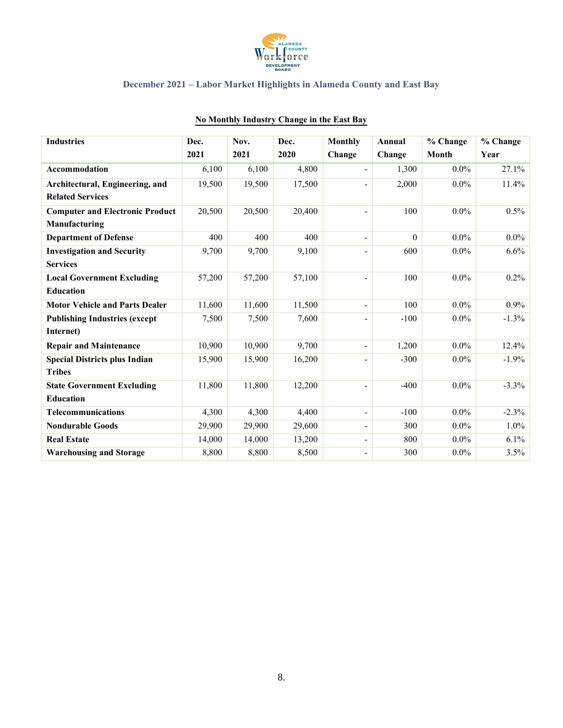

| <b>Industries</b>                      | Dec.   | Nov.   | Dec.   | <b>Monthly</b>           | Annual   | % Change     | % Change |
|----------------------------------------|--------|--------|--------|--------------------------|----------|--------------|----------|
|                                        | 2021   | 2021   | 2020   | Change                   | Change   | <b>Month</b> | Year     |
| Accommodation                          | 6,100  | 6,100  | 4,800  | $\overline{\phantom{a}}$ | 1,300    | $0.0\%$      | 27.1%    |
| Architectural, Engineering, and        | 19,500 | 19,500 | 17,500 | -                        | 2,000    | $0.0\%$      | 11.4%    |
| <b>Related Services</b>                |        |        |        |                          |          |              |          |
| <b>Computer and Electronic Product</b> | 20,500 | 20,500 | 20,400 | -                        | 100      | $0.0\%$      | 0.5%     |
| Manufacturing                          |        |        |        |                          |          |              |          |
| <b>Department of Defense</b>           | 400    | 400    | 400    | -                        | $\Omega$ | $0.0\%$      | $0.0\%$  |
| <b>Investigation and Security</b>      | 9,700  | 9,700  | 9,100  | $\overline{a}$           | 600      | $0.0\%$      | 6.6%     |
| <b>Services</b>                        |        |        |        |                          |          |              |          |
| <b>Local Government Excluding</b>      | 57,200 | 57,200 | 57,100 | -                        | 100      | $0.0\%$      | $0.2\%$  |
| <b>Education</b>                       |        |        |        |                          |          |              |          |
| <b>Motor Vehicle and Parts Dealer</b>  | 11,600 | 11,600 | 11,500 | $\overline{\phantom{a}}$ | 100      | $0.0\%$      | $0.9\%$  |
| <b>Publishing Industries (except</b>   | 7,500  | 7,500  | 7,600  | -                        | $-100$   | $0.0\%$      | $-1.3\%$ |
| Internet)                              |        |        |        |                          |          |              |          |
| <b>Repair and Maintenance</b>          | 10,900 | 10,900 | 9,700  | $\overline{\phantom{a}}$ | 1,200    | $0.0\%$      | 12.4%    |
| <b>Special Districts plus Indian</b>   | 15,900 | 15,900 | 16,200 |                          | $-300$   | $0.0\%$      | $-1.9\%$ |
| <b>Tribes</b>                          |        |        |        |                          |          |              |          |
| <b>State Government Excluding</b>      | 11,800 | 11,800 | 12,200 |                          | $-400$   | $0.0\%$      | $-3.3%$  |
| <b>Education</b>                       |        |        |        |                          |          |              |          |
| <b>Telecommunications</b>              | 4,300  | 4,300  | 4,400  | $\overline{\phantom{0}}$ | $-100$   | $0.0\%$      | $-2.3\%$ |
| <b>Nondurable Goods</b>                | 29,900 | 29,900 | 29,600 | -                        | 300      | $0.0\%$      | $1.0\%$  |
| <b>Real Estate</b>                     | 14,000 | 14,000 | 13,200 | $\overline{\phantom{0}}$ | 800      | $0.0\%$      | 6.1%     |
| <b>Warehousing and Storage</b>         | 8,800  | 8,800  | 8,500  | -                        | 300      | $0.0\%$      | 3.5%     |

### **No Monthly Industry Change in the East Bay**